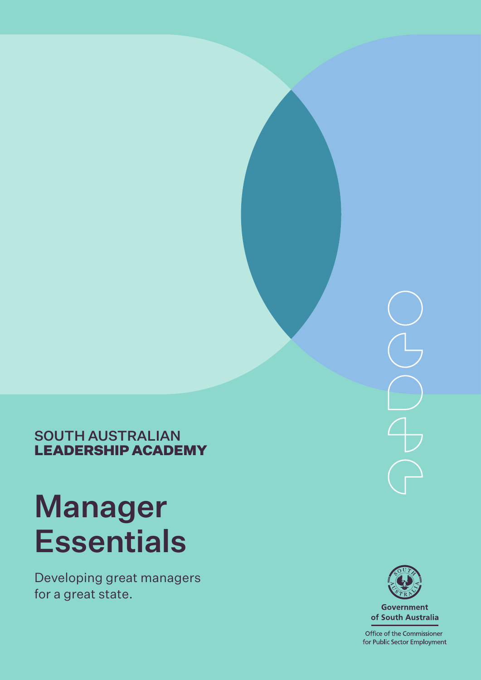

SOUTH AUSTRALIAN LEADERSHIP ACADEMY

# Manager **Essentials**

Developing great managers for a great state.



**Government** of South Australia

Office of the Commissioner for Public Sector Employment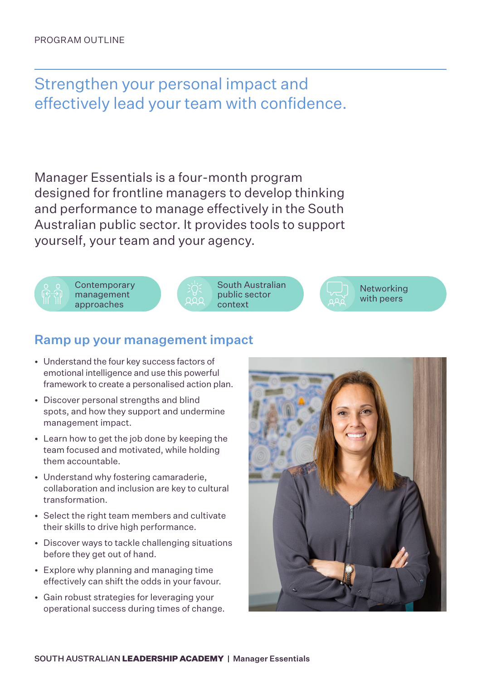Strengthen your personal impact and effectively lead your team with confidence.

Manager Essentials is a four-month program designed for frontline managers to develop thinking and performance to manage effectively in the South Australian public sector. It provides tools to support yourself, your team and your agency.





South Australian public sector context



# Ramp up your management impact

- Understand the four key success factors of emotional intelligence and use this powerful framework to create a personalised action plan.
- Discover personal strengths and blind spots, and how they support and undermine management impact.
- Learn how to get the job done by keeping the team focused and motivated, while holding them accountable.
- Understand why fostering camaraderie, collaboration and inclusion are key to cultural transformation.
- Select the right team members and cultivate their skills to drive high performance.
- Discover ways to tackle challenging situations before they get out of hand.
- Explore why planning and managing time effectively can shift the odds in your favour.
- Gain robust strategies for leveraging your operational success during times of change.

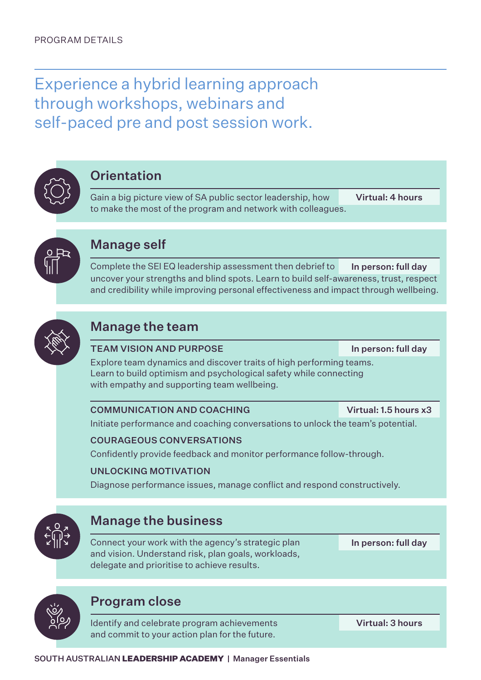Experience a hybrid learning approach through workshops, webinars and self-paced pre and post session work.



# **Orientation**

Gain a big picture view of SA public sector leadership, how to make the most of the program and network with colleagues. Virtual: 4 hours



# Manage self

Complete the SEI EQ leadership assessment then debrief to uncover your strengths and blind spots. Learn to build self-awareness, trust, respect and credibility while improving personal effectiveness and impact through wellbeing. In person: full day



# Manage the team

### TEAM VISION AND PURPOSE

In person: full day

Explore team dynamics and discover traits of high performing teams. Learn to build optimism and psychological safety while connecting with empathy and supporting team wellbeing.

### COMMUNICATION AND COACHING

Virtual: 1.5 hours x3

Initiate performance and coaching conversations to unlock the team's potential.

### COURAGEOUS CONVERSATIONS

Confidently provide feedback and monitor performance follow-through.

## UNLOCKING MOTIVATION

Diagnose performance issues, manage conflict and respond constructively.



Connect your work with the agency's strategic plan and vision. Understand risk, plan goals, workloads, delegate and prioritise to achieve results.

In person: full day

# Program close

Identify and celebrate program achievements and commit to your action plan for the future.

Virtual: 3 hours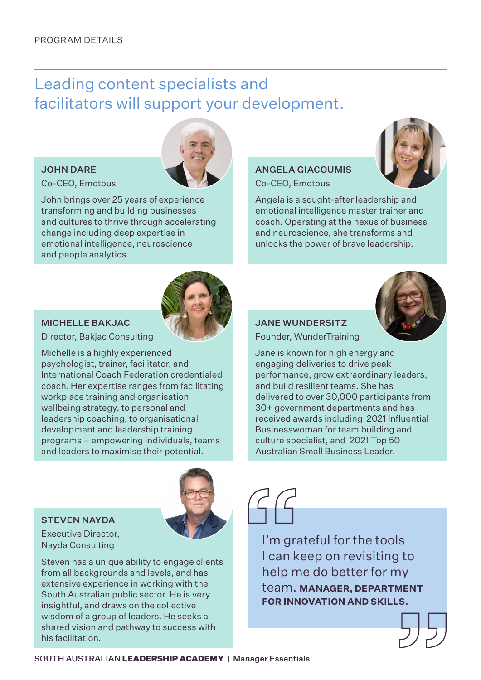# Leading content specialists and facilitators will support your development.

#### JOHN DARE

#### Co-CEO, Emotous



John brings over 25 years of experience transforming and building businesses and cultures to thrive through accelerating change including deep expertise in emotional intelligence, neuroscience and people analytics.



#### MICHELLE BAKJAC

Director, Bakjac Consulting

Michelle is a highly experienced psychologist, trainer, facilitator, and International Coach Federation credentialed coach. Her expertise ranges from facilitating workplace training and organisation wellbeing strategy, to personal and leadership coaching, to organisational development and leadership training programs – empowering individuals, teams and leaders to maximise their potential.

### STEVEN NAYDA



Executive Director, Nayda Consulting

Steven has a unique ability to engage clients from all backgrounds and levels, and has extensive experience in working with the South Australian public sector. He is very insightful, and draws on the collective wisdom of a group of leaders. He seeks a shared vision and pathway to success with his facilitation.



Angela is a sought-after leadership and emotional intelligence master trainer and coach. Operating at the nexus of business and neuroscience, she transforms and unlocks the power of brave leadership.



### JANE WUNDERSITZ

Founder, WunderTraining

Jane is known for high energy and engaging deliveries to drive peak performance, grow extraordinary leaders, and build resilient teams. She has delivered to over 30,000 participants from 30+ government departments and has received awards including 2021 Influential Businesswoman for team building and culture specialist, and 2021 Top 50 Australian Small Business Leader.

I'm grateful for the tools I can keep on revisiting to help me do better for my team. **MANAGER, DEPARTMENT FOR INNOVATION AND SKILLS.**